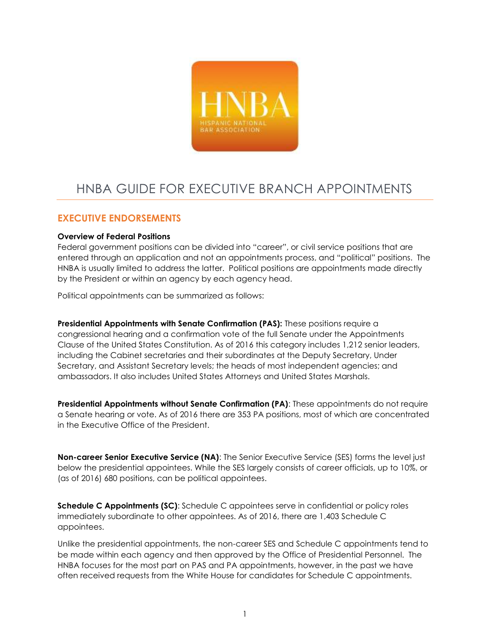

# HNBA GUIDE FOR EXECUTIVE BRANCH APPOINTMENTS

## **EXECUTIVE ENDORSEMENTS**

## **Overview of Federal Positions**

Federal government positions can be divided into "career", or civil service positions that are entered through an application and not an appointments process, and "political" positions. The HNBA is usually limited to address the latter. Political positions are appointments made directly by the President or within an agency by each agency head.

Political appointments can be summarized as follows:

**Presidential Appointments with Senate Confirmation (PAS):** These positions require a congressional hearing and a confirmation vote of the full Senate under the Appointments Clause of the United States Constitution. As of 2016 this category includes 1,212 senior leaders, including the Cabinet secretaries and their subordinates at the Deputy Secretary, Under Secretary, and Assistant Secretary levels; the heads of most independent agencies; and ambassadors. It also includes United States Attorneys and United States Marshals.

**Presidential Appointments without Senate Confirmation (PA)**: These appointments do not require a Senate hearing or vote. As of 2016 there are 353 PA positions, most of which are concentrated in the Executive Office of the President.

**Non-career Senior Executive Service (NA)**: The Senior Executive Service (SES) forms the level just below the presidential appointees. While the SES largely consists of career officials, up to 10%, or (as of 2016) 680 positions, can be political appointees.

**Schedule C Appointments (SC)**: Schedule C appointees serve in confidential or policy roles immediately subordinate to other appointees. As of 2016, there are 1,403 Schedule C appointees.

Unlike the presidential appointments, the non-career SES and Schedule C appointments tend to be made within each agency and then approved by the Office of Presidential Personnel. The HNBA focuses for the most part on PAS and PA appointments, however, in the past we have often received requests from the White House for candidates for Schedule C appointments.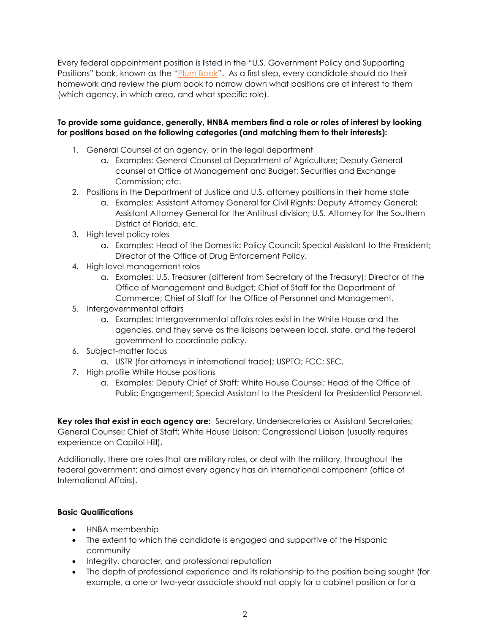Every federal appointment position is listed in the "U.S. Government Policy and Supporting Positions" book, known as the "[Plum Book](https://www.gpo.gov/fdsys/pkg/GPO-PLUMBOOK-2012/pdf/GPO-PLUMBOOK-2012.pdf)". As a first step, every candidate should do their homework and review the plum book to narrow down what positions are of interest to them (which agency, in which area, and what specific role).

## **To provide some guidance, generally, HNBA members find a role or roles of interest by looking for positions based on the following categories (and matching them to their interests):**

- 1. General Counsel of an agency, or in the legal department
	- a. Examples: General Counsel at Department of Agriculture; Deputy General counsel at Office of Management and Budget; Securities and Exchange Commission; etc.
- 2. Positions in the Department of Justice and U.S. attorney positions in their home state
	- a. Examples: Assistant Attorney General for Civil Rights; Deputy Attorney General; Assistant Attorney General for the Antitrust division; U.S. Attorney for the Southern District of Florida, etc.
- 3. High level policy roles
	- a. Examples: Head of the Domestic Policy Council; Special Assistant to the President; Director of the Office of Drug Enforcement Policy.
- 4. High level management roles
	- a. Examples: U.S. Treasurer (different from Secretary of the Treasury); Director of the Office of Management and Budget; Chief of Staff for the Department of Commerce; Chief of Staff for the Office of Personnel and Management.
- 5. Intergovernmental affairs
	- a. Examples: Intergovernmental affairs roles exist in the White House and the agencies, and they serve as the liaisons between local, state, and the federal government to coordinate policy.
- 6. Subject-matter focus
	- a. USTR (for attorneys in international trade); USPTO; FCC; SEC.
- 7. High profile White House positions
	- a. Examples: Deputy Chief of Staff; White House Counsel; Head of the Office of Public Engagement; Special Assistant to the President for Presidential Personnel.

**Key roles that exist in each agency are:** Secretary, Undersecretaries or Assistant Secretaries; General Counsel; Chief of Staff; White House Liaison; Congressional Liaison (usually requires experience on Capitol Hill).

Additionally, there are roles that are military roles, or deal with the military, throughout the federal government; and almost every agency has an international component (office of International Affairs).

## **Basic Qualifications**

- HNBA membership
- The extent to which the candidate is engaged and supportive of the Hispanic community
- Integrity, character, and professional reputation
- The depth of professional experience and its relationship to the position being sought (for example, a one or two-year associate should not apply for a cabinet position or for a